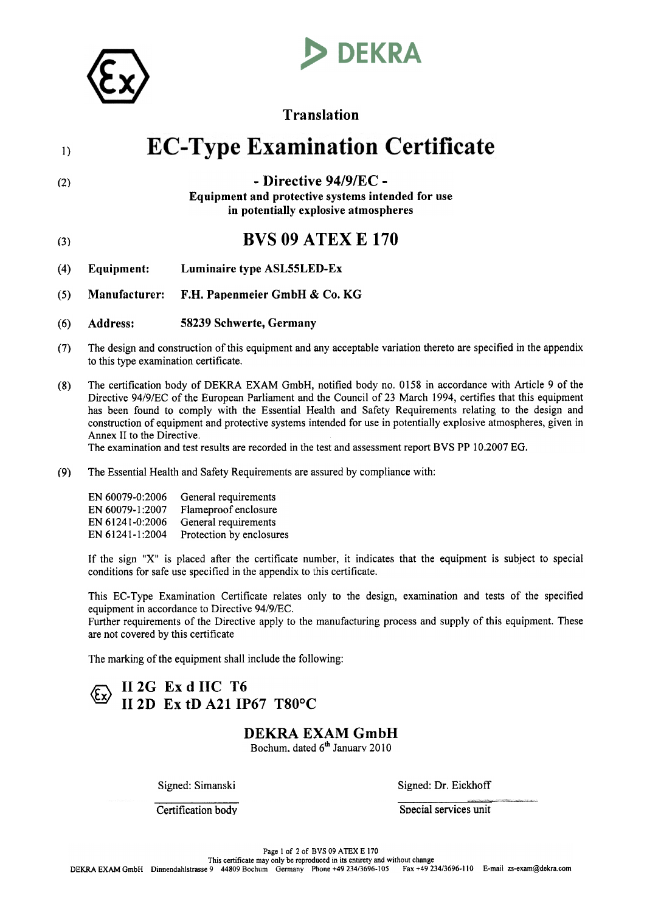

(2)

# **DEKRA**

## Translation

## **EC-Type Examination Certificate** I)

### -Directive 94/9/EC - Equipment and protective systems intended for use in potentially explosive atmospheres

- (3) **BVS 09 ATEX E 170**
- (4) Equipment: Luminaire type ASL55LED-Ex
- (5) Manufacturer: F.H. Papenmeier GmbH  $& Co. KG$
- (6) Address: 58239 Schwerte, Germany
- The design and construction of this equipment and any acceptable variation thereto are specified in the appendix to this type examination certificate. (7)
- (8) The certification body of DEKRA EXAM GmbH, notified body no.0158 in accordance with Article 9 of the Directive 94/9/EC of the European Parliament and the Council of 23 March 1994, certifies that this equipment has been found to comply with the Essential Health and Safety Requirements relating to the design and construction of equipment and protective systems intended for use in potentially explosive atmospheres, given in Annex II to the Directive.

The examination and test results are recorded in the test and assessment report BVS PP 10.2007 EG.

(9) The Essential Health and Safety Requirements are assured by compliance with:

| EN 60079-0:2006 | General requirements     |
|-----------------|--------------------------|
| EN 60079-1:2007 | Flameproof enclosure     |
| EN 61241-0:2006 | General requirements     |
| EN 61241-1:2004 | Protection by enclosures |

If the sign "X" is placed after the certificate nurober, it indicates that the equiproent is subject to special conditions for safe use specified in the appendix to this certificate.

This EC- Type Examination Certificate relates only to the design, examination and tests of the specified equipment in accordance to Directive 94/9/EC.

Further requirements of the Directive apply to the manufacturing process and supply of this equipment. These are not covered by this certificate

The marking of the equipment shall include the following:

## II  $2G$  Ex d IIC T6 {y Il2D Ex tD A21 IP67 T80°C

## DEKRA EXAM GmbH

Bochum, dated 6<sup>th</sup> January 2010

Signed: Simanski Signed: Dr. Eickhoff

**Certification body** Special services unit